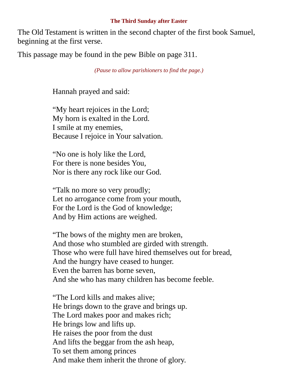## **The Third Sunday after Easter**

The Old Testament is written in the second chapter of the first book Samuel, beginning at the first verse.

This passage may be found in the pew Bible on page 311.

*(Pause to allow parishioners to find the page.)*

Hannah prayed and said:

"My heart rejoices in the Lord; My horn is exalted in the Lord. I smile at my enemies, Because I rejoice in Your salvation.

"No one is holy like the Lord, For there is none besides You, Nor is there any rock like our God.

"Talk no more so very proudly; Let no arrogance come from your mouth, For the Lord is the God of knowledge; And by Him actions are weighed.

"The bows of the mighty men are broken, And those who stumbled are girded with strength. Those who were full have hired themselves out for bread, And the hungry have ceased to hunger. Even the barren has borne seven, And she who has many children has become feeble.

"The Lord kills and makes alive; He brings down to the grave and brings up. The Lord makes poor and makes rich; He brings low and lifts up. He raises the poor from the dust And lifts the beggar from the ash heap, To set them among princes And make them inherit the throne of glory.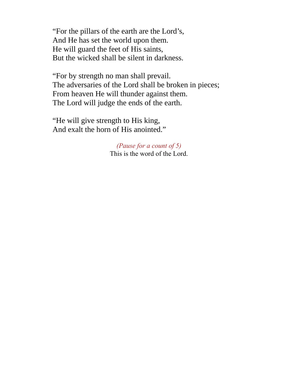"For the pillars of the earth are the Lord's, And He has set the world upon them. He will guard the feet of His saints, But the wicked shall be silent in darkness.

"For by strength no man shall prevail. The adversaries of the Lord shall be broken in pieces; From heaven He will thunder against them. The Lord will judge the ends of the earth.

"He will give strength to His king, And exalt the horn of His anointed."

> *(Pause for a count of 5)* This is the word of the Lord.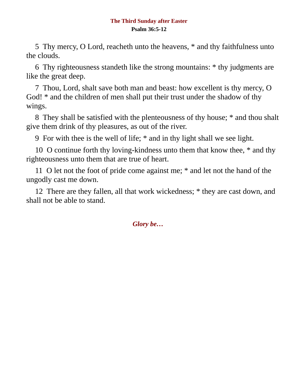## **The Third Sunday after Easter Psalm 36:5-12**

5 Thy mercy, O Lord, reacheth unto the heavens, \* and thy faithfulness unto the clouds.

6 Thy righteousness standeth like the strong mountains: \* thy judgments are like the great deep.

7 Thou, Lord, shalt save both man and beast: how excellent is thy mercy, O God! \* and the children of men shall put their trust under the shadow of thy wings.

8 They shall be satisfied with the plenteousness of thy house; \* and thou shalt give them drink of thy pleasures, as out of the river.

9 For with thee is the well of life; \* and in thy light shall we see light.

10 O continue forth thy loving-kindness unto them that know thee,  $*$  and thy righteousness unto them that are true of heart.

11 O let not the foot of pride come against me; \* and let not the hand of the ungodly cast me down.

12 There are they fallen, all that work wickedness; \* they are cast down, and shall not be able to stand.

*Glory be…*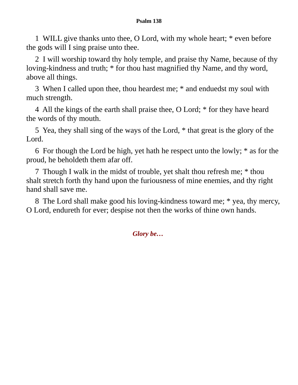## **Psalm 138**

1 WILL give thanks unto thee, O Lord, with my whole heart; \* even before the gods will I sing praise unto thee.

2 I will worship toward thy holy temple, and praise thy Name, because of thy loving-kindness and truth; \* for thou hast magnified thy Name, and thy word, above all things.

3 When I called upon thee, thou heardest me; \* and enduedst my soul with much strength.

4 All the kings of the earth shall praise thee, O Lord; \* for they have heard the words of thy mouth.

5 Yea, they shall sing of the ways of the Lord, \* that great is the glory of the Lord.

6 For though the Lord be high, yet hath he respect unto the lowly; \* as for the proud, he beholdeth them afar off.

7 Though I walk in the midst of trouble, yet shalt thou refresh me; \* thou shalt stretch forth thy hand upon the furiousness of mine enemies, and thy right hand shall save me.

8 The Lord shall make good his loving-kindness toward me; \* yea, thy mercy, O Lord, endureth for ever; despise not then the works of thine own hands.

*Glory be…*